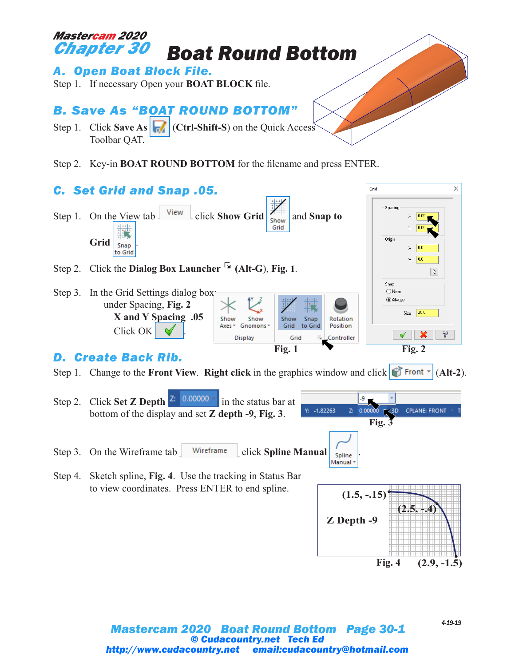

## *Mastercam 2020 Boat Round Bottom Page 30-1 © Cudacountry.net Tech Ed http://www.cudacountry.net email:cudacountry@hotmail.com*

*4-19-19*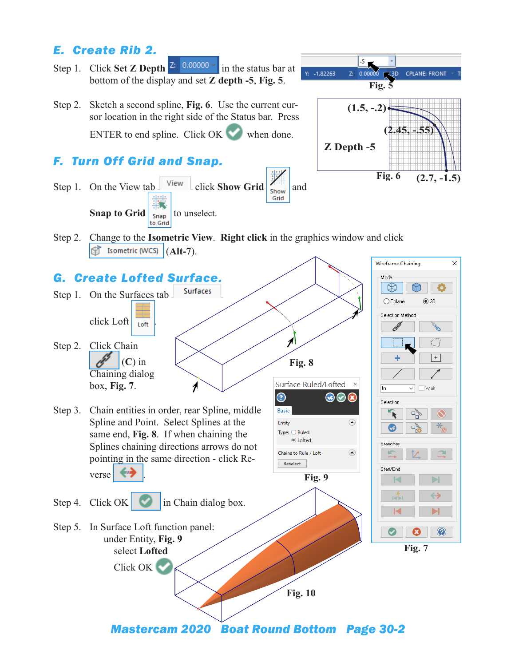## *E. Create Rib 2.*



*Mastercam 2020 Boat Round Bottom Page 30-2*